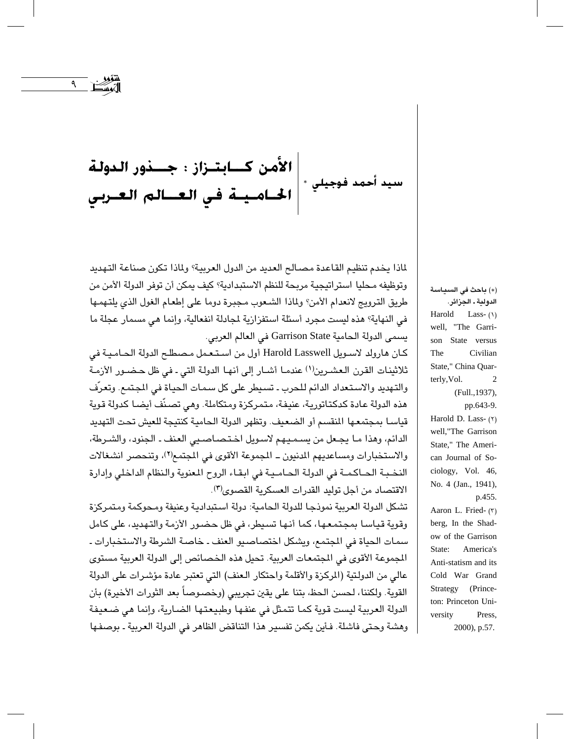||الأمن كـــابـتــزاز : جــــذور الـدولـة<br>سيد أحمد فوجيلي \*||الحــامــيــة فـي الـعـــالـم الـعــربـي

 $\mathcal{A}$ 

لماذا يخدم تنظيم القاعدة مصـالـم العديد من الدول العربية؟ ولماذا تكون صناعة التـهديد وتوظيفه مـحليا استراتيجية مربحة للنظم الاستبدادية؟ كيف يمكن أن توفر الدولة الأمن من طريق الترويج لانعدام الأمن؟ ولماذا الشعوب مجبرة دوما على إطعام الغول الذي يلتهمها في النهاية؟ هذه لي*ست مجرد أسئلة اس*تفزازية لجادلة انفعالية، وإنما هي مسمار عجلة ما يسمى الدولة الحامية Garrison State في العالم العربي.

كان هارولد لاسويل Harold Lasswell أول من استعمل مصطلح الدولة الحامية في ثلاثينات القرن العشرين(١) عندمـا أشـار إلى أنهـا الدولة التي ـ في ظل حـضـور الأزمـة والتهديد والاستعداد الدائم للحرب ـ تسيطر على كل سمات الحياة في المجتمع. وتعرّف هذه الدولة عادة كدكتاتورية، عنيفة، متمركزة ومتكاملة. وهي تصنّف أيضا كدولة قوية قياسـا بمجتمعـها المنقسـم أو الضعيف. وتظهر الدولة الـحاميـة كنتيجة للعيش تحت التهديد الدائم، وهذا مـا يجـعل من يسـمـيـهم لاسـويل اخـتـصـاصـيي العنف ـ الـجنود، والشـرطة، والاستخبارات ومساعديهم المدنيون \_ المجموعة الأقوى في المجتمع(٢)، وتنحصر انشغالات النخبة الحـاكمـة في الدولة الحـامـية في ابقـاء الروح المعنوية والنظام الداخلي وإدارة الاقتصاد من أحل توليد القدرات العسكرية القصوى(٣).

تشكل الدولة العربية نموذجا للدولة الحامية: دولة استبدادية وعنيفة ومحوكمة ومتمركزة وقوية قياسا بمجتمعها، كما أنها تسيطر، في ظل حضور الأزمة والتهديد، على كامل سمات الحياة في المجتمع، ويشكل اختصاصيو العنف ـ خاصة الشرطة والاستخبارات ـ المجموعة الأقوى في المجتمعات العربية. تحيل هذه الخصائص إلى الدولة العربية مستوى عالى من الدولتية (الركزة والأقلمة واحتكار العنف) التي تعتبر عادة مؤشرات على الدولة القوية. ولكننا، لحسن الحظ، بتنا على يقين تجريبي (وخصوصاً بعد الثورات الأخيرة) بأن الدولة العربية ليست قوية كما تتمثل في عنفها وطبيعتها الضارية، وإنما هي ضعيفة وهشة وحتى فاشلة. فأبن بكمن تفسير هذا التناقض الظاهر في الدولة العربية ـ بوصفها

(\*) باحث في السياسة الدولية ـ الجزائر. Harold Lass- $(1)$ well, "The Garrison State versus The Civilian State," China Quarterly, Vol.  $\overline{2}$ (Full., 1937), pp.643-9. Harold D. Lass- $(5)$ well,"The Garrison State," The American Journal of Sociology, Vol. 46, No. 4 (Jan., 1941), p.455.

Aaron L. Fried- (٣) berg, In the Shadow of the Garrison State: America's Anti-statism and its Cold War Grand Strategy (Princeton: Princeton University Press, 2000), p.57.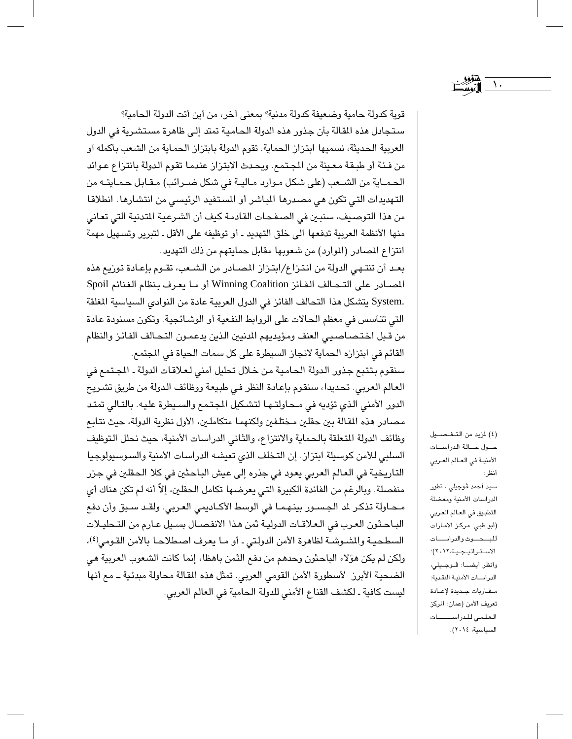قوية كدولة حامية وضعيفة كدولة مدنية؟ بمعنى آخر، من أين أتت الدولة الحامية؟ ستجادل هذه القالة بأن جذور هذه الدولة الحامية تمتد إلى ظاهرة مستشرية في الدول العربية الـحديثة، نسميها ابتزاز الـحماية. تقوم الدولة بابتزاز الـحمـاية من الشـعب بأكمله أو من فئة أو طبقة معينة من المجتمع. ويحدث الابتزاز عندما تقوم الدولة بانتزاع عوائد الحمـاية من الشـعب (على شكل موارد مـاليـة في شكل ضـرائب) مقـابل حـمـايتـه من التهديدات التي تكون هي مصدرها المباشر أو المستفيد الرئيسي من انتشارها. انطلاقا من هذا التوصيف، سنبين في الصفحات القادمة كيف أن الشرعية المتدنية التي تعاني منها الأنظمة العربية تدفعها الى خلق التهديد ـ أو توظيفه على الأقل ـ لتبرير وتسهيل مهمة انتزاع المصادر (الموارد) من شعوبها مقابل حمايتهم من ذلك التهديد.

بعد أن تنتهي الدولة من انتزاع/ابتزاز المصادر من الشعب، تقـوم بإعـادة توزيع هذه المصادر على التحالف الفائز Winning Coalition أو ما يعرف بنظام الغنائم Spoil .System يتشكل هذا التحالف الفائز في الدول العربية عادة من النوادي السياسية المغلقة التي تتأسس في معظم الحالات على الروابط النفعية أو الوشائجية. وتكون مسنودة عادة من قبل اختصاصيي العنف ومؤيديهم الدنيين الذين يدعمون التحالف الفائز والنظام القائم في ابتزازه الحماية لانجاز السيطرة على كل سمات الحياة في المجتمع.

سنقوم بتتبع جذور الدولة الحامية من خلال تحليل أمنى لعلاقات الدولة ـ المجتمع في العالم العربي. تحديدا، سنقوم بإعادة النظر في طبيعة ووظائف الدولة من طريق تشريح الدور الأمنى الذي تؤديه في محاولتها لتشكيل المجتمع والسيطرة عليه. بالتالي تمتد مصادر هذه المقالة بين حقلين مختلفين ولكنهما متكاملين، الأول نظرية الدولة، حيث نتابع وظائف الدولة المتعلقة بالحماية والانتزاع، والثاني الدراسات الأمنية، حيث نحلل التوظيف السلبي للأمن كوسيلة ابتزاز. إن التخلف الذي تعيشه الدراسات الأمنية والسوسيولوجيا التاريخية في العالم العربي يعود في جذره إلى عيش الباحثين في كلا الحقلين في جزر منفصلة. وبالرغم من الفائدة الكبيرة التي يعرضها تكامل الحقلين، إلاّ أنه لم تكن هناك أي محاولة تذكر لد الجسور بينهما في الوسط الأكاديمي العربي. ولقد سبق وأن دفع الباحثون العرب في العلاقات الدولية ثمن هذا الانفصـال بسـيل عـارم من التـحليـلات السطحية والشوشة لظاهرة الأمن الدولتي ـ أو مـا يعرف اصطلاحـا بالأمن القومي(٤)، ولكن لم يكن هؤلاء الباحثون وحدهم من دفع الثمن باهظا، إنما كانت الشعوب العربية هي الضحية الأبرز لأسطورة الأمن القومي العربي. تمثل هذه المقالة محاولة مبدئية ـ مع أنها ليست كافية ـ لكشف القناع الأمنى للدولة الحامية في العالم العربي.

(٤) لمزيد من التـفـصــيل حول حالة الدراسات الأمنية في العالم العربي أنظر: سيد أحمد ڤوجيلي ، تطور الدراسات الأمنية ومعضلة التطبيق في العالم العربي (أبو ظبي: مركز الامـارات للبهاوث والدراسات الاستراتيجية،٢٠١٢)؛ وانظر أيضـــا: ڤــوجــيلي، الدراسات الأمنية النقدية: مقاربات جديدة لإعادة تعريف الأمن (عمان: المركز العلمى للدراســــات السياسية، ٢٠١٤).

 $\lambda$ .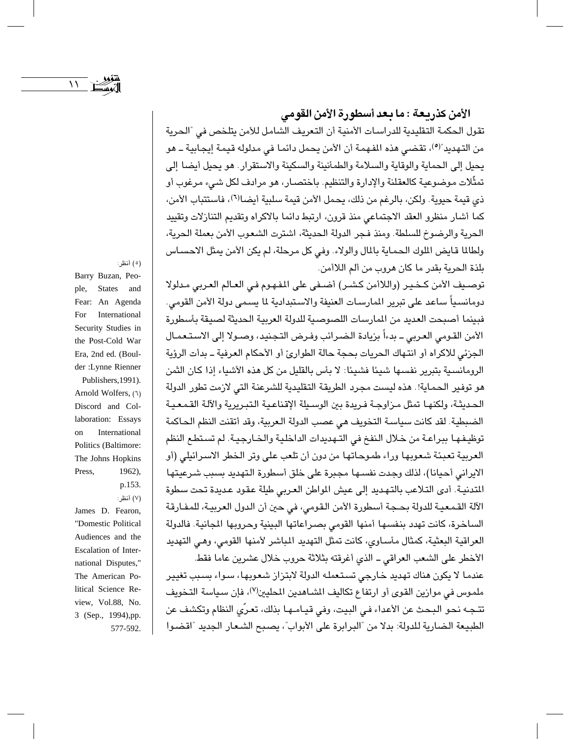تقول الحكمة التقليدية للدراسات الأمنية أن التعريف الشامل للأمن بتلخص في "الحرية من التـهديد"(°)، تقضـى هذه المفـهمـة أن الأمن يحمل دائمـا في مدلوله قيمـة إيجـابيـة ــ هو يحيل إلى الحماية والوقاية والسلامة والطمأنينة والسكينة والاستقرار. هو يحيل أيضا إلى تمثُّلات موضوعية كالعقلنة والإدارة والتنظيم. باختصـار، هو مرادف لكل شـيء مرغوب أو ذي قيمة حيوية. ولكن، بالرغم من ذلك، يحمل الأمن قيمة سلبية أيضالاً)، فاستتباب الأمن، كما أشار منظرو العقد الاجتماعي منذ قرون، ارتبط دائما بالاكراه وتقديم التنازلات وتقييد الحرية والرضوخ للسلطة. ومنذ فجر الدولة الحديثة، اشترت الشعوب الأمن بعملة الحرية، ولطالما قايض الملوك الحماية بالمال والولاء. وفي كل مرحلة، لم يكن الأمن يمثل الاحساس بلذة الحرية بقدر ما كان هروب من ألم اللاأمن.

توصيف الأمن كــذيـر (واللاأمن كـشـر) أضــفي على المفهـوم فـي العـالم العـربي مـدلولا دومانسياً ساعد على تبرير المارسات العنيفة والاستبدادية لما يسمى دولة الأمن القومي. فبينما أصبحت العديد من المارسات اللصوصية للدولة العربية الحديثة لصيقة بأسطورة الأمن القومي العربي ــ بدءاً بزيادة الضرائب وفرض التجنيد، وصـولا إلى الاستـعمـال الجزئي للاكراه أو انتهاك الحريات بحجة حالة الطوارئ أو الأحكام العرفية ــ بدأت الرؤية الرومانسية بتبرير نفسها شيئًا فشيئًا: لا بأس بالقليل من كل هذه الأشياء إذا كان الثمن هو توفير الحماية!. هذه ليست مجرد الطريقة التقليدية للشرعنة التي لازمت تطور الدولة الحديثة، ولكنهـا تمثل مـزاوجـة فـريدة بين الوسـيلة الإقناعـية الـتبـريرية والآلـة القـمـعـيـة الضبطية. لقد كانت سياسة التخويف هي عصب الدولة الـعربية، وقد أتقنت النظم الـحاكمة توظيفها ببراعة من خلال النفخ في التهديدات الداخلية والخارجية. لم تستطع النظم العربية تعبئة شعوبها وراء طموحاتها من دون أن تلعب على وتر الخطر الاسرائيلي (أو الابراني أحيانا)، لذلك وجدت نفسها مجبرة على خلق أسطورة التهديد بسبب شرعيتها المتدنية. أدى التلاعب بالتهديد إلى عيش المواطن العربي طيلة عقود عديدة تحت سطوة الآلة القمعية للدولة بحجة أسطورة الأمن القومي، في حين أن الدول العربية، للمفارقة الساخرة، كانت تهدد بنفسها أمنها القومى بصراعاتها البينية وحروبها الجانية. فالدولة العراقية البعثية، كمثال مأسـاوي، كانت تمثل التهديد المباشر لأمنها القومي، وهـي التهديد الأخطر على الشعب العراقي \_ الذي أغرقته بثلاثة حروب خلال عشرين عاما فقط.

عندما لا يكون هناك تهديد خارجي تستعمله الدولة لابتزاز شعوبها، سـواء بسـبب تغيير ملموس في موازين القوى أو ارتفاع تكاليف الشـاهدين المطيين<sup>(٧)</sup>، فإن سـياسة التـخويف تتـجـه نـحـو الـبـحـث عن الأعداء فـي البيت، وفي قيـامـهـا بذلك، تعـري النظام وتكشف عن الطبيعة الضارية للدولة: بدلا من "البرابرة على الأبواب"، يصبح الشعار الجديد "اقضوا

Barry Buzan, Peo-

(٥) أنظر:

ple, **States** and Fear: An Agenda For International Security Studies in the Post-Cold War Era, 2nd ed. (Boulder : Lynne Rienner

Publishers, 1991). Arnold Wolfers, (٦) Discord and Collaboration: Essays on International Politics (Baltimore: The Johns Hopkins Press, 1962), p.153.

(٧) أنظر: James D. Fearon, "Domestic Political Audiences and the Escalation of International Disputes," The American Political Science Review, Vol.88, No. 3 (Sep., 1994), pp. 577-592.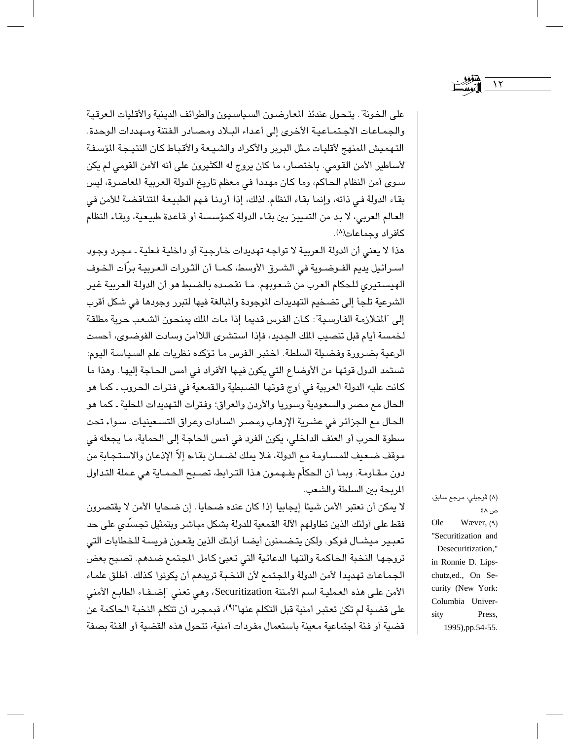على الخونة". يتحول عندئذ المعارضون السياسيون والطوائف الدينية والأقليات العرقية والجمـاعـات الاجـتمـاعيـة الأخرى إلى أعـداء البـلاد ومصـادر الفتنة ومـهددات الوحدة. التهميش المنهج لأقليات مثل البربر والأكراد والشيعة والأقباط كان النتيجة المؤسفة لأساطير الأمن القومي. باختصار، ما كان يروج له الكثيرون على أنه الأمن القومي لم يكن سوى أمن النظام الحاكم، وما كان مهددا في معظم تاريخ الدولة العربية المعاصرة، ليس بقاء الدولة في ذاته، وإنما بقاء النظام. لذلك، إذا أردنا فهم الطبيعة المتناقضة للأمن في العالم العربي، لا بد من التمييز بين بقاء الدولة كمؤسسة أو قاعدة طبيعية، وبقاء النظام كأفراد وجماعات(^).

هذا لا يعني أن الدولة العربية لا تواجه تهديدات خارجية أو داخلية فعلية ـ مجرد وجود اسـرائيل يديم الفـوضـوية في الشـرق الأوسط، كـمـا أن الثـورات الـعـربيـة برّاَت الـضوف الهيستيري للحكام العرب من شعوبهم. مـا نقصده بالضبط هو أن الدولة العربية غير الشرعية تلجأ إلى تضخيم التهديدات الموجودة والمبالغة فيها لتبرر وجودها في شكل أقرب إلى "المتلازمة الفارسية": كان الفرس قديما إذا مات المك يمنحون الشعب حرية مطلقة لخمسة أيام قبل تنصيب المك الجديد، فإذا استشرى اللاأمن وسادت الفوضوي، أحست الرعية بضرورة وفضيلة السلطة. اختبر الفرس ما تؤكده نظريات علم السياسة اليوم: تستمد الدول قوتها من الأوضاع التي يكون فيها الأفراد في أمس الحاجة إليها. وهذا ما كانت عليه الدولة العربية في أوج قوتها الضبطية والقمعية في فترات الحروب ـ كما هو الحال مع مصر والسعودية وسوريا والأردن والعراق؛ وفترات التهديدات المطية ـ كما هو الحال مع الجزائر في عشرية الإرهاب ومصر السادات وعراق التسعينيات. سواء تحت سطوة الحرب أو العنف الداخلي، يكون الفرد في أمس الحاجة إلى الحماية، ما يجعله في موقف ضعيف للمساومة مع الدولة، فلا يملك لضمان بقاءه إلاّ الإذعان والاستجابة من دون مقـاومة. وبما أن الحكاّم يفـهمون هذا الترابط، تصـبـم الـحـمـاية هي عـملة التـداول المريحة بين السلطة والشعب.

لا يمكن أن نعتبر الأمن شيئا إيجابيا إذا كان عنده ضحايا. إن ضحايا الأمن لا يقتصرون فقط على أولئك الذين تطاولهم الآلة القمعية للدولة بشكل مباشر وبتمثيل تجسَّدي على حد تعبير ميشـال فوكو. ولكن يتضـمنون أيضـا أولئك الذين يقعـون فريسـة للـخطابات التي تروجها النخبة الحاكمة وآلتها الدعائية التي تعبئ كامل المجتمع ضدهم. تصبح بعض الجماعات تهديدا لأمن الدولة والمجتمع لأن النخبة تريدهم أن يكونوا كذلك. أطلق علماء الأمن على هذه العملية اسم الأمننة Securitization، وهي تعني "إضـفـاء الطابـع الأمني على قضية لم تكن تعتبر أمنية قبل التكلم عنها"(٩)، فبمجرد أن تتكلم النخبة الحاكمة عن قضية أو فئة اجتماعية معينة باستعمال مفردات أمنية، تتحول هذه القضية أو الفئة بصفة

(۸) ڤوجيلي، مرجع سابق، ص ٤٨ . Ole Wæver,  $(9)$ "Securitization and Desecuritization," in Ronnie D. Lipschutz,ed., On Security (New York: Columbia University Press, 1995), pp.54-55.

 $\gamma$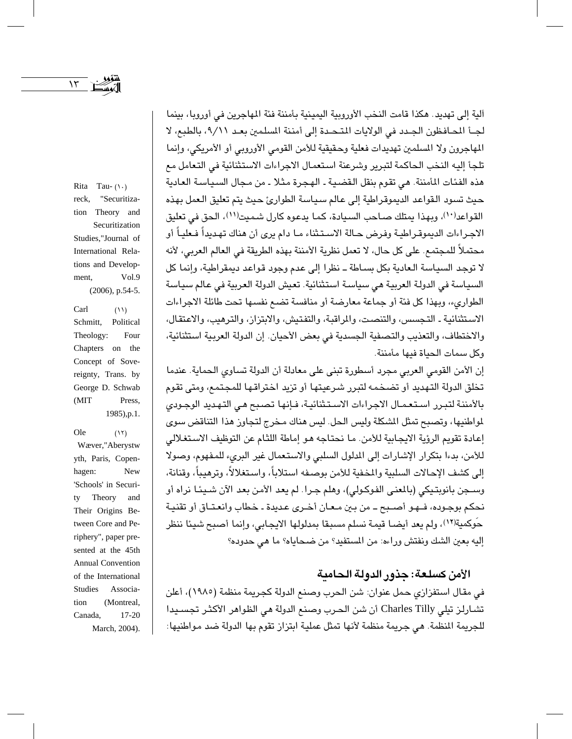$\mathcal{N}$ 

Rita Tau- $( \wedge )$ reck, "Securitization Theory and Securitization Studies,"Journal of International Relations and Develop-Vol.9 ment,  $(2006)$ , p.54-5.

Carl  $(11)$ Political Schmitt, Theology: Four Chapters on the Concept of Sovereignty, Trans. by George D. Schwab (MIT Press, 1985), p.1.

Ole  $(15)$ Wæver,"Aberystw yth, Paris, Copenhagen: New 'Schools' in Securi-Theory tv and Their Origins Between Core and Periphery", paper presented at the 45th Annual Convention of the International **Studies** Associa-(Montreal, tion Canada,  $17-20$ March, 2004).

آلية إلى تهديد . هكذا قامت النخب الأوروبية اليمينية بأمننة فئة الماجرين في أوروبا، بينما لجـّا المحافظون الجـدد في الولايات المتـحـدة إلى أمننة المسلمين بعـد ٩/١١، بالطبع، لا المهاجرون ولا المسلمين تهديدات فعلية وحقيقية للأمن القومي الأوروبي أو الأمريكي، وإنما تلجأ إليه النخب الحاكمة لتبرير وشرعنة استعمال الاجراءات الاستثنائية في التعامل مع هذه الفئات المأمننة. هي تقوم بنقل القضية ـ الهجرة مثلا ـ من مجال السياسة العادية حيث تسود القواعد الديموقراطية إلى عالم سياسة الطوارئ حيث يتم تعليق العمل بهذه القواعد(١٠)، وبهذا يمتلك صباحب السيادة، كما يدعوه كارل شميت(١١)، الحق في تعليق الاجراءات الديموقـراطيـة وفرض حـالة الاسـتـثناء مـا دام يرى أن هناك تهـديداً فـعليـاً أو محتملاً للمجتمع. على كل حال، لا تعمل نظرية الأمننة بهذه الطريقة في العالم العربي، لأنه لا توجد السياسة الـعادية بكل بسـاطة ــ نظرا إلى عدم وجود قواعد ديمقراطية، وإنما كل السياسة في الدولة العربية هي سياسة استثنائية. تعيش الدولة العربية في عالم سياسة الطواريء، وبهذا كل فئة أو جماعة معارضة أو منافسة تضبع نفسها تحت طائلة الاجراءات الاستثنائية ـ التجسس، والتنصت، والمراقبة، والتفتيش، والابتزاز، والترهيب، والاعتقال، والاختطاف، والتعذيب والتصفية الجسدية في بعض الأحيان. إن الدولة العربية استثنائية، وكل سمات الحياة فيها مأمننة.

إن الأمن القومي العربي مجرد أسطورة تبني على معادلة أن الدولة تساوى الحماية. عندما تخلق الدولة التهديد أو تضخمه لتبرر شرعيتها أو تزيد اختراقها للمجتمع، ومتى تقوم بالأمننة لتبرر استعمال الاجراءات الاستثنائية، فإنها تصبح هي التهديد الوجودي لمواطنيها، وتصبح تمثل الشكلة وليس الحل. ليس هناك مـخرج لتجاوز هذا التناقض سوى إعادة تقويم الرؤية الايجابية للأمن. ما نحتاجه هـو إماطة اللثام عن التوظيف الاستغلالي للأمن، بدءا بتكرار الإشارات إلى المدلول السلبي والاستعمال غير البريء للمفهوم، وصولا إلى كشف الإحالات السلبية والمخفية للأمن بوصيفه استلاباً، واستغلالاً، وترهيباً، وقنانة، وســجن بانويتـيكي (بالمغني الفوكـولي)، وهلم جـرا. لم يعد الأمن بعد الآن شــيئـا نراه أو نحكم بوجـوده، فــهـو أصــبـع ــ من بـين مـعـان أخـرى عـديدة ـ خطاب وانعـتـاق أو تقنيـة حَوكمية(١٢)، ولم يعد أيضـا قيمـة نسلم مسبقا بمدلولها الايجابي، وإنما أصبح شيئا ننظر إليه بعين الشك ونفتش وراءه: من المستفيد؟ من ضحاياه؟ ما هي حدوده؟

## الأمن كسلعة: جذور الدولة الحامية

في مقال استفزازي حمل عنوان: شن الحرب وصنع الدولة كجريمة منظمة (١٩٨٥)، أعلن تشارلز تيلي Charles Tilly أن شن الحرب وصنع الدولة هي الظواهر الأكثر تجسـيدا للجريمة النظمة. هي جريمة منظمة لأنها تمثل عملية ابتزاز تقوم بها الدولة ضد مواطنيها: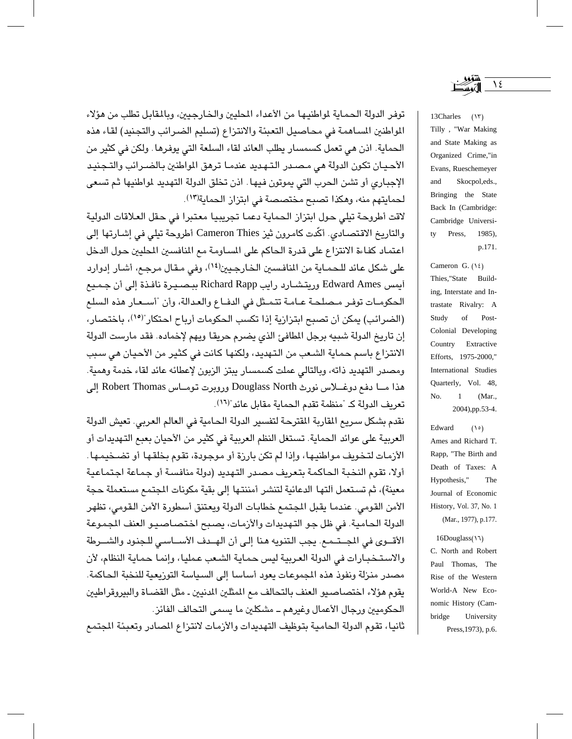توفر الدولة الحماية لمواطنيها من الأعداء المطيبن والخارجيين، وبالمقابل تطلب من هؤلاء المواطنين المساهمة في محاصيل التعبئة والانتزاع (تسليم الضرائب والتجنيد) لقاء هذه الحماية. اذن هي تعمل كسمسار يطلب العائد لقاء السلعة التي يوفرها . ولكن في كثير من الأحيان تكون الدولة هي مصدر التهديد عندما ترهق المواطنين بالضـرائب والتـجنيد الإجباري أو تشن الحرب التي يموتون فيها. اذن تخلق الدولة التهديد لمواطنيها ثم تسعى لحمايتهم منه، وهكذا تصبح مختصصة في ابتزاز الحماية(١٣).

لاقت أطروحة تيلي حول ابتزاز الحماية دعما تجريبيا معتبرا في حقل العلاقات الدولية والتاريخ الاقتصـادي. أكَّدت كامرون ثيز Cameron Thies أطروحة تيلي في إشـارتها إلى اعتماد كفاءة الانتزاع على قدرة الحاكم على المساومة مع المنافسين المطيين حول الدخل على شكل عائد للحمـاية من المنافسـين الخـارجـيين(١٤)، وفي مـقـال مرجـم، أشـار إدوارد أيمس Edward Ames وريتشارد رايب Richard Rapp ببصيرة نافذة إلى أن جميع الحكومـات توفـر مـصلحـة عـامـة تتمـثل في الدفـاع والعدالة، وأن "أسـعـار هذه السلع (الضرائب) يمكن أن تصبح ابتزازية إذا تكسب الحكومات أرباح احتكار"(١٥)، باختصار، إن تاريخ الدولة شبيه برجل المطافئ الذي يضرم حريقا ويهم لإخماده. فقد مارست الدولة الانتزاع باسم حماية الشعب من التهديد، ولكنها كانت في كثير من الأحيان هي سبب ومصدر التهديد ذاته، وبالتالي عملت كسمسار يبتز الزبون لإعطائه عائد لقاء خدمة وهمية. هذا مــا دفع دوغــلاس نورث Douglass North وروبرت تومــاس Robert Thomas إلى تعريف الدولة كـ "منظمة تقدم الحماية مقابل عائد"(١٦).

نقدم بشكل سريع المقاربة المقترحة لتفسير الدولة الحامية في العالم العربي. تعيش الدولة العربية على عوائد الحماية. تستغل النظم العربية في كثير من الأحيان بعبع التهديدات أو الأزمات لتخويف مواطنيها، وإذا لم تكن بارزة أو موجودة، تقوم بخلقها أو تضـخيمـها . أولا، تقوم النخية الحاكمة بتعريف مصدر التهديد (دولة منافسة أو جماعة اجتماعية معينة)، ثم تستعمل اَلتها الدعائية لتنشر أمننتها إلى بقية مكونات المجتمع مستعملة حجة الأمن القومي. عندما يقبل المجتمع خطابات الدولة ويعتنق أسطورة الأمن القومي، تظهر الدولة الحامية. في ظل جو التهديدات والأزمات، يصبح اختصاصيو العنف المجموعة الأقـــوي في المجــتــمـع. يجب التنويه هنا إلـى أن الهــدف الأســـاسـى للـجنود والشـــرطة والاستخبارات في الدولة العربية ليس حماية الشعب عمليا، وإنما حماية النظام، لأن مصدر منزلة ونفوذ هذه المجموعات يعود أساسا إلى السياسة التوريعية للنخبة الحاكمة. يقوم هؤلاء اختصاصيو العنف بالتحالف مع المثلين الدنيين ـ مثل القضـاة والبيروقراطيين الحكوميين ورجال الأعمال وغيرهم ــ مشكلين ما يسمى التحالف الفائز.

ثانيا، تقوم الدولة الحامية بتوظيف التهديدات والأزمات لانتزاع المصادر وتعبئة المجتمع

13Charles (١٣) Tilly, "War Making and State Making as Organized Crime,"in Evans, Rueschemeyer and Skocpol,eds., Bringing the State Back In (Cambridge: Cambridge Universitv Press, 1985), p.171.

Cameron G.  $(\lambda \xi)$ Thies,"State Building, Interstate and Intrastate Rivalry: A Study  $% \left( \left( \mathcal{A},\mathcal{A}\right) \right)$  of Post-Colonial Developing Country Extractive Efforts, 1975-2000," International Studies Quarterly, Vol. 48, (Mar., No.  $\mathbf{1}$ 2004), pp.53-4.

Edward  $(10)$ Ames and Richard T. Rapp, "The Birth and Death of Taxes: A Hypothesis," The Journal of Economic History, Vol. 37, No. 1 (Mar., 1977), p.177.

16Douglass(\'\) C. North and Robert Paul Thomas, The Rise of the Western World-A New Economic History (Cambridge University Press, 1973), p.6.

 $\lambda$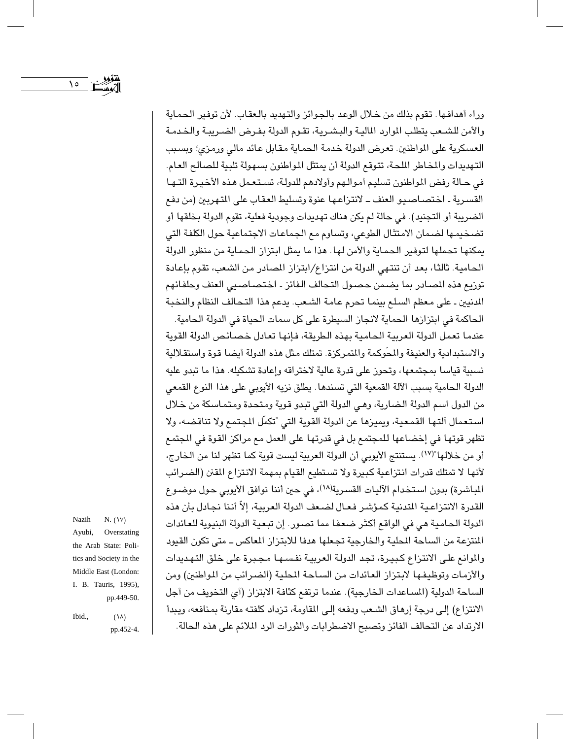وراء أهدافها. تقوم بذلك من خلال الوعد بالجوائز والتهديد بالعقاب. لأن توفير الحماية والأمن للشـعب يتطلب الموارد الماليـة والبشـريـة، تقـوم الدولة بـفـرض الضـريبـة والـضدمـة العسكرية على المواطنين. تعرض الدولة خدمة الحماية مقابل عائد مالي ورمزي؛ وبسبب التهديدات والمخاطر الملحة، تتوقع الدولة أن يمتثل المواطنون بسهولة تلبية للصالح العام. في حـالة رفض المواطنون تسليم أموالـهم وأولادهم للدولـة، تسـتـعـمل هـذه الأخيـرة اَلتـهـا القسرية ـ اختصـاصـيو العنف ــ لانتزاعـها عنوة وتسليط العقاب على المتهربين (من دفع الضريبة أو التجنيد). في حالة لم يكن هناك تهديدات وجودية فعلية، تقوم الدولة بخلقها أو تضخيمها لضمان الامتثال الطوعي، وتساوم مع الجماعات الاجتماعية حول الكلفة التي يمكنها تحملها لتوفير الحماية والأمن لها. هذا ما يمثل ابتزاز الحماية من منظور الدولة الحامية. ثالثًا، بعد أن تنتهي الدولة من انتزاع/ابتزاز المصادر من الشعب، تقوم بإعادة توزيع هذه المصادر بما يضمن حصول التحالف الفائز ـ اختصاصيي العنف وحلفائهم الدنيين ـ على معظم السلم بينما تحرم عامة الشعب. يدعم هذا التحالف النظام والنخبة

الحاكمة في ابتزازها الحماية لانجاز السيطرة على كل سمات الحياة في الدولة الحامية. عندما تعمل الدولة العربية الحامية بهذه الطريقة، فإنها تعادل خصائص الدولة القوية والاستبدادية والعنيفة والمحوكمة والمتمركزة. تمتلك مثل هذه الدولة أيضا قوة واستقلالية نسبية قياسا بمجتمعها، وتحوز على قدرة عالية لاختراقه وإعادة تشكيله. هذا ما تبدو عليه الدولة الحامية بسبب الآلة القمعية التي تسندها . يطلق نزيه الأيوبي على هذا النوع القمعي من الدول اسم الدولة الضارية، وهي الدولة التي تبدو قوية ومتحدة ومتماسكة من خلال استعمال التها القمعية، ويميزها عن الدولة القوية التي "تكمّل المجتمع ولا تناقضه، ولا تظهر قوتها في إخضاعها للمجتمع بل في قدرتها على العمل مع مراكز القوة في الجتمع أو من خلالها"(١٧). يستنتج الأيوبي أن الدولة العربية ليست قوية كما تظهر لنا من الخارج، لأنها لا تمتلك قدرات انتزاعية كبيرة ولا تستطيع القيام بمهمة الانتزاع المقن (الضرائب المباشرة) بدون استخدام الآليات القسرية(١٨)، في حين أننا نوافق الأيوبي حول موضىوع القدرة الانتزاعية التدنية كمؤشر فعال لضعف الدولة العربية، إلاّ أننا نجادل بأن هذه الدولة الحامية هي في الواقع أكثر ضعفا مما تصور. إن تبعية الدولة البنيوية للعائدات المنتزعة من الساحة المطية والخارجية تجعلها هدفا للابتزاز الماكس ــ متى تكون القيود والموانع على الانتزاع كبيرة، تجد الدولة العربية نفسـهـا مجـبرة على خلق التـهـديدات والأزمات وتوظيفها لابتزاز العائدات من السـاحة المطية (الضـرائب من المواطنين) ومن الساحة الدولية (المساعدات الخارجية). عندما ترتفع كثافة الابتزاز (أى التخويف من أجل الانتزاع) إلى درجة إرهاق الشعب ودفعه إلى المقاومة، تزداد كلفته مقارنة بمنافعه، ويبدأ الارتداد عن التحالف الفائز وتصبح الاضطرابات والثورات الرد الملائم على هذه الحالة.

Nazih  $N. (W)$ Ayubi, Overstating the Arab State: Politics and Society in the Middle East (London: I. B. Tauris, 1995), pp.449-50.

 $\lambda$ 

Ibid.,  $(\lambda \lambda)$ pp.452-4.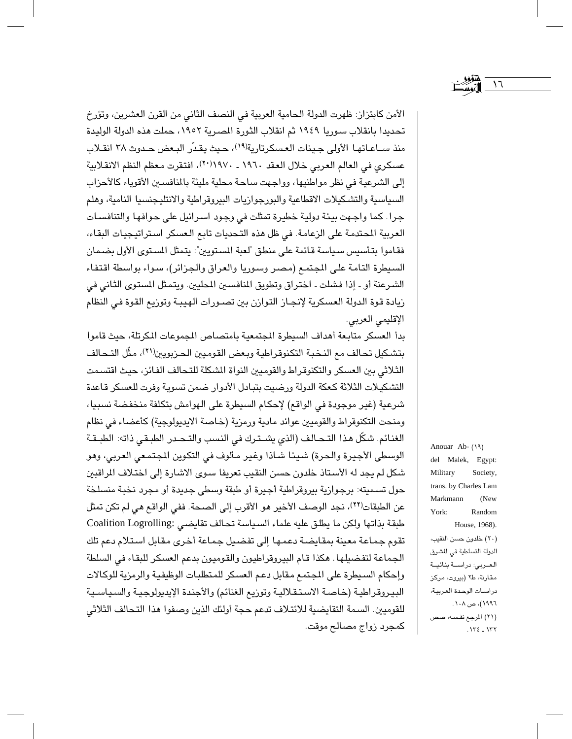الأمن كابتزاز: ظهرت الدولة الحامية العربية في النصف الثاني من القرن العشرين، وتؤرخ تحديدا بانقلاب سوريا ١٩٤٩ ثم انقلاب الثورة المصرية ١٩٥٢، حملت هذه الدولة الوليدة منذ سـاعـاتهـا الأولى جينات العسكرتارية(١٩)، حيث يقدّر البعض حـدوث ٣٨ انقـلاب عسكري في العالم العربي خلال العقد ١٩٦٠ ـ ١٩٧٠/ ٢٠)، افتقرت معظم النظم الانقلابية إلى الشرعية في نظر مواطنيها، وواجهت ساحة محلية مليئة بالمنافسين الأقوياء كالأحزاب السياسية والتشكيلات الاقطاعية والبورجوازيات البيروقراطية والانتليجنسيا النامية، وهلم جرا. كما واجهت بيئة دولية خطيرة تمثلت في وجود اسرائيل على حوافها والتنافسات العربية المحتدمة على الزعامة. في ظل هذه التحديات تابع العسكر استراتيجيات البقاء، فقاموا بتأسيس سياسة قائمة على منطق "لعبة المستويين": يتمثل المستوى الأول بضمان السيطرة التامة على المجتمع (مصر وسوريا والعراق والجزائر)، سواء بواسطة اقتفاء الشرعنة أو ـ إذا فشلت ـ اختراق وتطويق المنافسين المحليين. ويتمثل المستوى الثاني في ريادة قوة الدولة العسكرية لإنجاز التوازن بين تصـورات الهيبـة وتوزيع القوة فـي النظام الإقليمي العربي.

بدأ العسكر متابعة أهداف السيطرة المجتمعية بامتصاص المجوعات المكرتلة، حيث قاموا بتشكيل تحالف مع النخبة التكنوقراطية وبعض القوميين الحربويين(٢١)، مثَّل التـحالف الثلاثي بين العسكر والتكنوقراط والقوميين النواة الشكلة للتحالف الفائز، حيث اقتسمت التشكيلات الثلاثة كعكة الدولة ورضيت بتبادل الأدوار ضمن تسوية وفرت للعسكر قاعدة شرعية (غير موجودة في الواقع) لإحكام السيطرة على الهوامش بتكلفة منخفضة نسبيا، ومنحت التكنوقراط والقوميين عوائد مادية ورمزية (خاصة الايديولوجية) كأعضاء في نظام الغنائم. شكَّل هذا التـحـالف (الذي يشـتـرك في النسب والتـحـدر الطبـقي ذاته: الطبـقـة الوسطى الأجيرة والحرة) شيئًا شاذا وغير مألوف في التكوين المجتمعي العربي، وهو شكل لم يجد له الأستاذ خلدون حسن النقيب تعريفا سـوى الاشارة إلى اختلاف المراقبين حول تسميته: برجوازية بيروقراطية أجيرة أو طبقة وسطى جديدة أو مجرد نخبة منسلخة عن الطبقات(٢٢)، نجد الوصف الأخير هو الأقرب إلى الصحة. ففي الواقع هي لم تكن تمثل طبقة بذاتها ولكن ما يطلق عليه علماء السياسة تحالف تقايضي :Coalition Logrolling تقوم جماعة معينة بمقايضة دعمها إلى تفضيل جماعة أخرى مقابل استلام دعم تلك الجماعة لتفضيلها. هكذا قام البيروقراطيون والقوميون بدعم العسكر للبقاء في السلطة وإحكام السيطرة على الجتمع مقابل دعم العسكر للمتطلبات الوظيفية والرمزية للوكالات البيروقراطية (خاصة الاستقلالية وتوزيع الغنائم) والأجندة الإيديولوجية والسياسية للقوميين. السمة التقايضية للائتلاف تدعم حجة أولئك الذين وصفوا هذا التحالف الثلاثي كمجرد زواج مصالح موقت.

Anouar Ab- (19) del Malek, Egypt: Military Society, trans. by Charles Lam Markmann  $(New)$ York: Random House, 1968). (٢٠) خلدون حسن النقيب، الدولة التسلطية في المشرق العربي: دراسة بنائية مقارنة، ط٢ (بيروت، مركز دراسات الوحدة العربية، ۱۹۹۱)، ص ۱۰۸. (۲۱) المرجع نفسه، صص  $.172 - 177$ 

 $\backslash \mathcal{J}$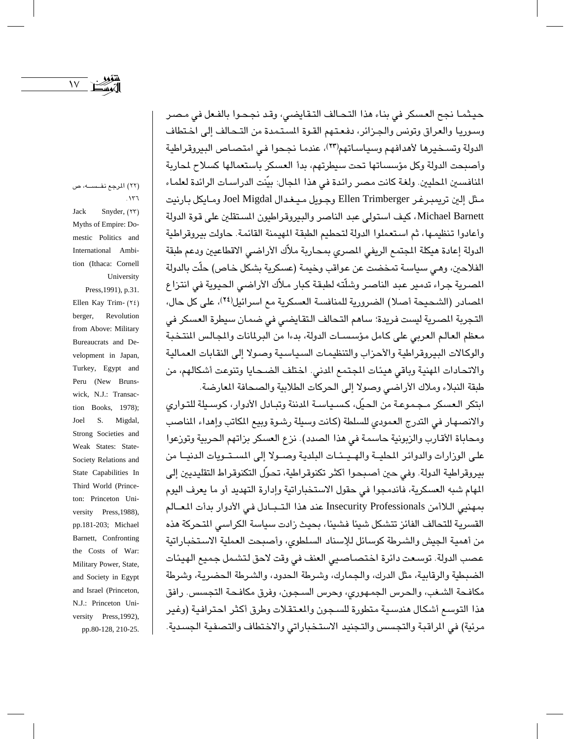$\gamma$ 

حيثمـا نجح العسكر في بناء هذا التحـالف التـقـايضي، وقـد نجـحـوا بالفـعل في مـصـر وسوريا والعراق وتونس والجزائر، دفعتهم القوة المستمدة من التحالف إلى اختطاف الدولة وتسخيرها لأهدافهم وسياساتهم(٢٣)، عندما نجحوا في امتصاص البيروقراطية وأصبحت الدولة وكل مؤسساتها تحت سيطرتهم، بدأ العسكر باستعمالها كسلاح لمحاربة المنافسين المطيين. ولغة كانت مصر رائدة في هذا المجال: بيّنت الدراسات الرائدة لعلماء مـثل إلين تريمبـرغـر Ellen Trimberger وجـويل مـيـغـدال Joel Migdal ومـايكل بـارنيت Michael Barnett، كيف استولى عبد الناصر والبيروقراطيون المستقلين على قوة الدولة وأعادوا تنظيمها، ثم استعملوا الدولة لتحطيم الطبقة المهيمنة القائمة. حاولت بيروقراطية الدولة إعادة هيكلة المجتمع الريفي المصرى بمحاربة ملآك الأراضي الاقطاعيين ودعم طبقة الفلاحين، وهـي سياسـة تمخضت عن عواقب وخيمـة (عسكرية بشكل خـاص) حلَّت بالدولة المصرية جراء تدمير عبد الناصر وشلّته لطبقة كبار ملأك الأراضي الحيوية في انتزاع المصادر (الشحيحة أصلا) الضرورية للمنافسة العسكرية مع اسرائيل(٢٤)، على كل حال، التجربة المصرية ليست فريدة؛ ساهم التحالف التقايضي في ضمان سيطرة العسكر في معظم العالم العربي على كامل مؤسسات الدولة، بدءا من البرلمانات والمجالس المنتخبة والوكالات البيروقراطية والأحزاب والتنظيمات السياسية وصولا إلى النقابات العمالية والاتحادات المهنية وباقي هيئات المجتمع الدني. اختلف الضـحايا وتنوعت أشكالهم، من طبقة النبلاء وملاك الأراضى وصولا إلى الحركات الطلابية والصحافة المعارضة.

ابتكر العسكر مجموعة من الحيِّل، كسـياسـة الدننة وتبـادل الأدوار، كوسـيلة للتـواري والانصهار في التدرج العمودي للسلطة (كانت وسيلة رشـوة وبيع المكاتب وإهداء المناصب ومحاباة الأقارب والزبونية حاسمة في هذا الصدد). نزع العسكر بزاتهم الحربية وتوزعوا على الوزارات والدوائر المطيــة والهــيــئــات البلدية وصــولا إلى المســتــويات الدنيــا من بيروقراطية الدولة. وفي حين أصبحوا أكثر تكنوقراطية، تحوَّل التكنوقراط التقليديين إلى المهام شبه العسكرية، فاندمجوا في حقول الاستخباراتية وإدارة التهديد أو ما يعرف اليوم بمهنيي اللاأمن Insecurity Professionals عند هذا التـبـادل فـي الأدوار بدأت المعــالم القسرية للتحالف الفائز تتشكل شيئا فشيئا، بحيث زادت سياسة الكراسي التحركة هذه من أهمية الجيش والشرطة كوسائل للإسناد السلطوى، وأصبحت العملية الاستخباراتية عصب الدولة. توسعت دائرة اختصاصيي العنف في وقت لاحق لتشمل جميع الهيئات الضبطية والرقابية، مثل الدرك، والجمارك، وشرطة الحدود، والشرطة الحضرية، وشرطة مكافحة الشـغب، والـحرس الـجمـهوري، وحرس السـجون، وفرق مكافـحـة التجسس. رافق هذا التوسع أشكال هندسية متطورة للسجون والمعتقلات وطرق أكثر احترافية (وغير مرئية) في المراقبة والتجسس والتجنيد الاستخباراتي والاختطاف والتصفية الجسدية.

(٢٢) المرجع نفسه، ص  $.177$ 

Jack Snyder, (٢٣) Myths of Empire: Domestic Politics and International Ambition (Ithaca: Cornell University

Press, 1991), p.31. Ellen Kay Trim- $(15)$ berger, Revolution from Above: Military Bureaucrats and Development in Japan, Turkey, Egypt and Peru (New Brunswick, N.J.: Transaction Books, 1978); S. Migdal, Joel Strong Societies and Weak States: State-Society Relations and State Capabilities In Third World (Princeton: Princeton University Press, 1988), pp.181-203; Michael Barnett, Confronting the Costs of War: Military Power, State, and Society in Egypt and Israel (Princeton, N.J.: Princeton University Press, 1992), pp.80-128, 210-25.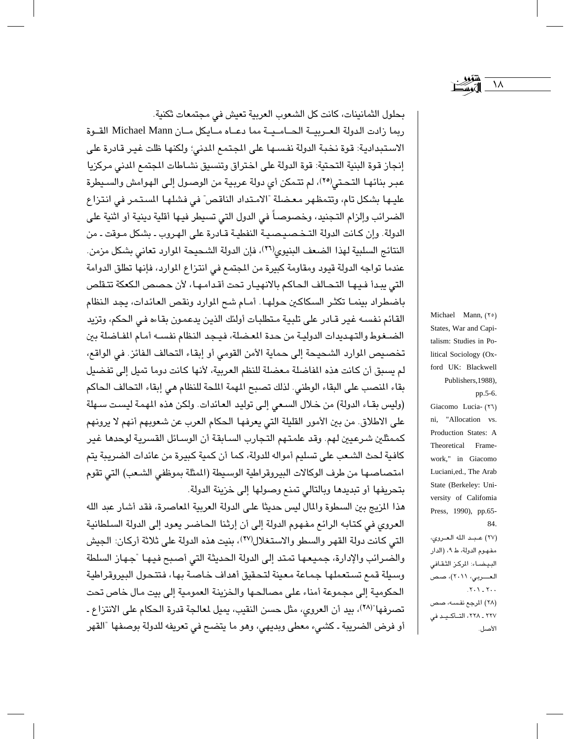بحلول الثمانينات، كانت كل الشعوب العربية تعيش في مجتمعات ثكنية. ربما زادت الدولة العـربيــة الحــامــيــة مما دعــاه مــابكل مــان Michael Mann القــوة الاستبدادية: قوة نخبة الدولة نفسـها على المجتمع المدنى؛ ولكنها ظلت غيـر قادرة على إنجاز قوة البنية التحتية: قوة الدولة على اختراق وتنسيق نشـاطات المجتمع الدني مركزيا عبر بنائها التحتي(٢٥)، لم تتمكن أي دولة عربية من الوصول إلى الهوامش والسيطرة عليها بشكل تام، وتتمظهر معضلة "الامتداد الناقص" في فشلها المستمر في انتزاع الضرائب وإلزام التجنيد، وخصوصاً في الدول التي تسيطر فيها أقلية دينية أو اثنية على الدولة. وإن كانت الدولة التخصيصية النفطية قادرة على الهروب ـ بشكل موقت ـ من النتائج السلبية لهذا الضعف البنيوي(٢٦)، فإن الدولة الشحيحة الموارد تعانى بشكل مزمن. عندما تواجه الدولة قيود ومقاومة كبيرة من المجتمع في انتزاع الموارد، فإنها تطلق الدوامة التي يبدأ فيها التحالف الحاكم بالانهيار تحت أقدامها، لأن حصص الكعكة تتقلص باضطراد بينمـا تكثـر السكاكين حولهـا. أمـام شـع الموارد ونقص العائدات، يجد النظام القائم نفسه غير قـادر على تلبية مـتطلبات أولئك الذين يدعمون بقـاءه فـي الـحكم، وتزيد الضغوط والتهديدات الدولية من حدة المعضلة، فيجد النظام نفسه أمام المفاضلة بين تخصيص الموارد الشحيحة إلى حماية الأمن القومي أو إبقاء التحالف الفائز. في الواقع، لم يسبق أن كانت هذه الفاضلة معضلة للنظم العربية، لأنها كانت دوما تميل إلى تفضيل بقاء المنصب على البقاء الوطني. لذلك تصبح المهمة الملحة للنظام هي إبقاء التحالف الحاكم (وليس بقاء الدولة) من خلال السعى إلى توليد العائدات. ولكن هذه المهمة ليست سهلة على الاطلاق. من بين الأمور القليلة التي يعرفها الحكام العرب عن شعوبهم أنهم لا يرونهم كممثلين شرعيين لهم. وقد علمتهم التجارب السابقة أن الوسائل القسرية لوحدها غير كافية لحث الشـعب على تسليم أمواله للدولة، كما أن كمية كبيرة من عائدات الضريبة يتم امتصاصها من طرف الوكالات البيروقراطية الوسيطة (المثلة بموظفى الشعب) التي تقوم بتحريفها أو تبديدها وبالتالي تمنع وصولها إلى خزينة الدولة.

هذا المزيج بين السطوة والمال ليس حديثًا على الدولة العربية المعاصرة، فقد أشار عبد الله العروى في كتابه الرائع مفهوم الدولة إلى أن إرثنا الحاضر يعود إلى الدولة السلطانية التي كانت دولة القهر والسطو والاستغلال(٢٧)، بنيت هذه الدولة على ثلاثة أركان: الجيش والضرائب والإدارة، جميعها تمتد إلى الدولة الحديثة التي أصبح فيها "جهاز السلطة وسيلة قمع تستعملها جماعة معينة لتحقيق أهداف خاصة بها، فتتحول البيروقراطية الحكومية إلى مجموعة أمناء على مصالحها والخزينة العمومية إلى بيت مال خاص تحت تصرفها"(٢٨)، بيد أن العروى، مثل حسن النقيب، يميل لمعالجة قدرة الحكام على الانتزاع ـ أو فرض الضريبة ـ كشيء معطى وبديهي، وهو ما يتضح في تعريفه للدولة بوصفها "القهر Michael Mann, (٢٥) States, War and Capitalism: Studies in Political Sociology (Oxford UK: Blackwell Publishers, 1988), pp.5-6. Giacomo Lucia- (٢٦) ni, "Allocation vs.

١٨

Production States: A Theoretical Framework," in Giacomo Luciani,ed., The Arab State (Berkeley: University of Califomia Press, 1990), pp.65-84.

(٢٧) عبد الله العروي، مفهوم الدولة، ط ٩، (الدار البيضاء: المركز الثقافى العـــربي، ٢٠١١)، صص  $.7.1 - 7.$ (٢٨) الرجع نفسه، صص ۲۲۷ ـ ۲۲۸، التـأكـيـد في الأصل.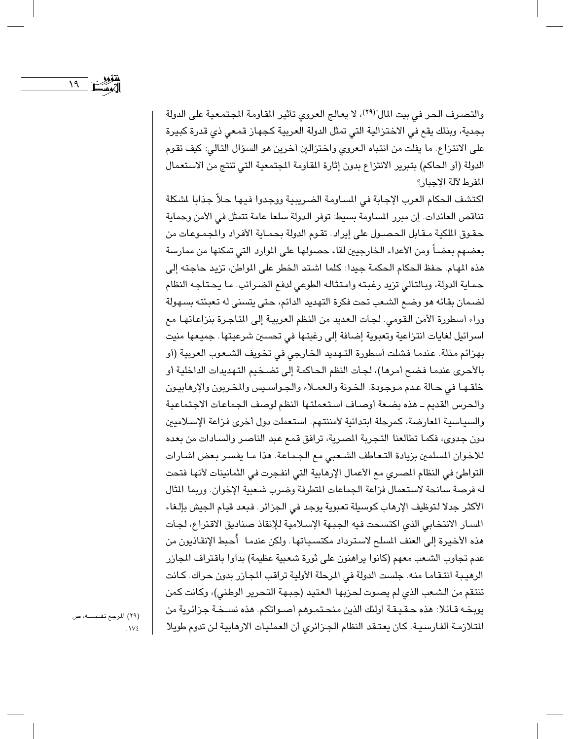والتصرف الحر في بيت المال"(٢٩)، لا يعالج العروي تأثير المقاومة المجتمعية على الدولة بجدية، وبذلك يقع في الاختزالية التي تمثل الدولة العربية كجهاز قمعي ذي قدرة كبيرة على الانتزاع. ما يفلت من انتباه الـعروى واختزالين أخرين هو السؤال التالي: كيف تقوم الدولة (أو الحاكم) بتبرير الانتزاع بدون إثارة القاومة المجتمعية التي تنتج من الاستعمال المفرط لآلة الإجبار؟

اكتشف الحكام العرب الإجابة في المساومة الضريبية ووجدوا فيها حلاً جذابا لشكلة تناقص العائدات. إن مبرر المساومة بسيط: توفر الدولة سلعا عامة تتمثل في الأمن وحماية حقوق الملكية مقابل الحصول على إيراد. تقوم الدولة بحماية الأفراد والمجموعات من بعضهم بعضـاً ومن الأعداء الخارجيين لقاء حصـولهـا على الموارد التي تمكنها من ممارسـة هذه المهام. حفظ الحكام الحكمة جيدا: كلما اشتد الخطر على المواطن، تزيد حاجته إلى حماية الدولة، وبالتالي تزيد رغبته وامتثاله الطوعي لدفع الضرائب. ما يحتاجه النظام لضمان بقائه هو وضع الشعب تحت فكرة التهديد الدائم، حتى يتسنى له تعبئته بسهولة وراء أسطورة الأمن القومي. لجأت العديد من النظم العربية إلى المتاجرة بنزاعاتها مع اسرائيل لغايات انتزاعية وتعبوية إضافة إلى رغبتها في تحسين شرعيتها. جميعها منيت بهزائم مذلة. عندما فشلت أسطورة التـهديد الخارجي في تخويف الشـعوب العربية (أو بالأحرى عندما فضح أمرها)، لجأت النظم الحاكمة إلى تضـخيم التهديدات الداخلية أو خلقها في حالة عدم موجودة. الخونة والعملاء والجواسيس والمخربون والإرهابيون والحرس القديم ـ هذه بضعة أوصاف استعملتها النظم لوصف الجماعات الاجتماعية والسياسية المعارضة، كمرحلة ابتدائية لأمننتهم. استعملت دول أخرى فزاعة الإسلاميين دون جدوى، فكما تطالعنا التجربة المصرية، ترافق قمع عبد الناصر والسادات من بعده للاخوان المسلمين بزيادة التعاطف الشعبي مع الجماعة. هذا ما يفسر بعض اشارات التواطئ في النظام المصري مع الأعمال الإرهابية التي انفجرت في الثمانينات لأنها فتحت له فرصة سانحة لاستعمال فزاعة الجماعات المتطرفة وضرب شعبية الإخوان. وريما المثال الأكثر جدلا لتوظيف الإرهاب كوسيلة تعبوية يوجد في الجزائر. فبعد قيام الجيش بإلغاء المسار الانتخابي الذي اكتسحت فيه الجبهة الإسلامية للإنقاذ صناديق الاقتراع، لجأت هذه الأخيرة إلى العنف السلح لاسترداد مكتسباتها. ولكن عندما ۖ أُحبط الإنقاذيون من عدم تجاوب الشـعب معهم (كانوا يراهنون على ثورة شـعبية عظيمة) بدأوا باقتراف المجازر الرهيبة انتقاما منه. جلست الدولة في المرحلة الأولية تراقب المجازر بدون حراك. كانت تنتقم من الشـعب الذي لم يصـوت لـحـزبهـا الـعـتيد (جـبـهة التـحرير الوطني)، وكـانت كمن يوبخـه قـائلا: هذه حـقـيـقـة أولئك الذين مـنحـتمـوهـم أصــواتكـم. هذه نســخـة جـزائرية من التلازمة الفارسية. كان يعتقد النظام الجزائري أن العمليات الارهابية لن تدوم طويلا

(٢٩) المرجع نفسه، ص  $.1V<sub>2</sub>$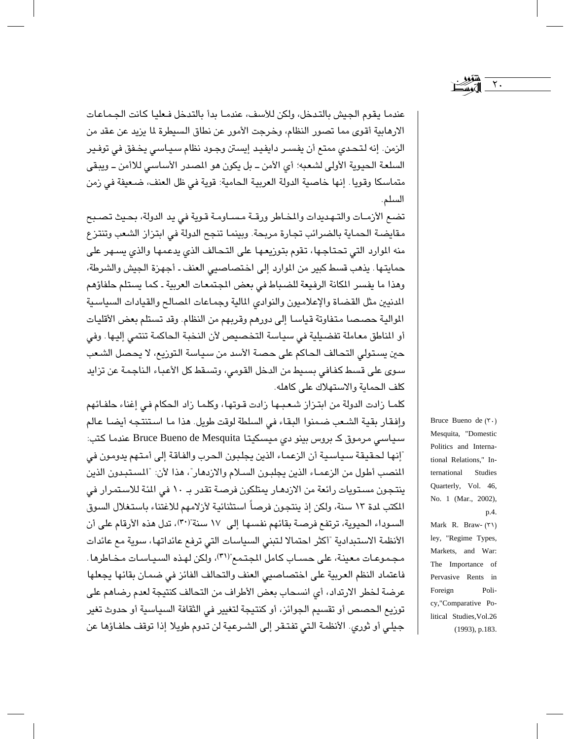عندما يقوم الجيش بالتدخل، ولكن للأسف، عندمـا بدأ بالتدخل فـعليا كانت الجـمـاعـات الارهابية أقوى مما تصور النظام، وخرجت الأمور عن نطاق السيطرة لما يزيد عن عقد من الزمن. إنه لتحدي ممتع أن يفسـر دايفيد إيسـتن وجـود نظام سـيـاسـي يخـفق في توفـير السلعة الحيوية الأولى لشعبه؛ أي الأمن ــ بل يكون هو المصدر الأساسي للاأمن ــ ويبقى متماسكا وقويا. إنها خاصية الدولة العربية الحامية: قوية في ظل العنف، ضعيفة في زمن السلم.

تضبع الأزمـات والتـهـدبدات والمخـاطر ورقــة مـسـاومـة قـوية في بد الدولة، بحـيث تصـبـع مقايضة الحماية بالضرائب تجارة مربحة. وبينما تنجح الدولة في ابتزاز الشعب وتنتزع منه الموارد التي تحتاجها، تقوم بتوزيعها على التحالف الذي يدعمها والذي يسهر على حمايتها. يذهب قسط كبير من الموارد إلى اختصاصيي العنف ـ أجهزة الجيش والشرطة، وهذا ما يفسر المكانة الرفيعة للضباط في بعض المجتمعات العربية ـ كما يستلم حلفاؤهم الدنيين مثل القضاة والإعلاميون والنوادي المالية وجماعات المصالح والقيادات السياسية الموالية حصصا متفاوتة قياسا إلى دورهم وقربهم من النظام. وقد تستلم بعض الأقليات أو المناطق معاملة تفضيلية في سياسة التخصيص لأن النخبة الحاكمة تنتمي إليها. وفي حين يستولى التحالف الحاكم على حصـة الأسد من سـياسـة الـتوزيع، لا يحصـل الشـعب سوى على قسط كفافي بسيط من الدخل القومي، وتسقط كل الأعباء الناجمة عن تزايد كلف الحماية والاستهلاك على كاهله.

كلمـا زادت الدولة من ابتـزاز شـعـبـهـا زادت قـوتهـا، وكلـمـا زاد الـحكام فـى إغناء حلفـائـهم وإفقار بقية الشعب ضمنوا البقاء في السلطة لوقت طويل. هذا ما استنتجه أيضا عالم سیاسی مرموق کے بروس بینو دی میسکیتا Bruce Bueno de Mesquita عندما کتب: "إنها لحقيقة سياسية أن الزعماء الذين يجلبون الحرب والفاقة إلى أمتهم يدومون في المنصب أطول من الزعمـاء الذين يجلبون السـلام والازدهار"، هذا لأن: "المستبدون الذين ينتجون مستويات رائعة من الازدهـار يمتلكون فرصـة تقدر بـ ١٠ في المئة للاسـتمـرار في المكتب لمدة ١٣ سنة، ولكن إذ ينتجون فرصاً استثنائية لأزلامهم للاغتناء باستغلال السوق السوداء الحيوية، ترتفع فرصة بقائهم نفسها إلى ١٧ سنة"(٣٠)، تدل هذه الأرقام على أن الأنظمة الاستبدادية "أكثر احتمالا لتبنى السياسات التي ترفع عائداتها، سوية مع عائدات مجموعات معينة، على حسـاب كامل المجتمع"(٣١)، ولكن لهذه السيـاسـات مـخـاطرها. فاعتماد النظم العربية على اختصاصيي العنف والتحالف الفائز في ضمان بقائها يجعلها عرضة لخطر الارتداد، أي انسحاب بعض الأطراف من التحالف كنتيجة لعدم رضاهم على توزيع الحصص أو تقسيم الجوائز، أو كنتيجة لتغيير في الثقافة السياسية أو حدوث تغير جيلي أو ثوري. الأنظمة التي تفتـقر إلى الشـرعية لن تدوم طويلا إذا توقف حلفـاؤها عن

Bruce Bueno de  $(\tau)$ . Mesquita, "Domestic Politics and International Relations," International Studies Quarterly, Vol. 46, No. 1 (Mar., 2002), p.4. Mark R. Braw- (٣١) ley, "Regime Types,

 $\mathbf{\check{r}}$  .

Markets, and War: The Importance of Pervasive Rents in Foreign Policy,"Comparative Political Studies, Vol.26  $(1993)$ , p.183.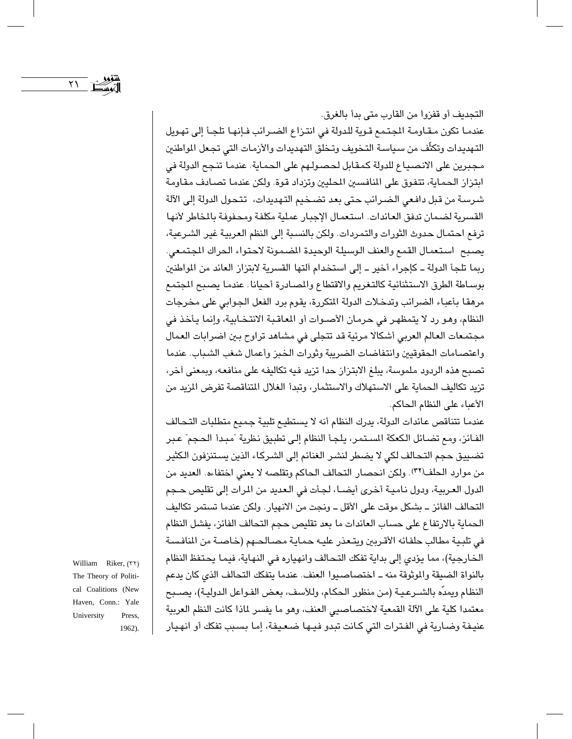التجديف أو قفزوا من القارب متى بدأ بالغرق. عندما تكون مقاومة المجتمع قوية للدولة في انتزاع الضررائب فإنها تلجأ إلى تهويل التهديدات وتكثُّف من سياسة التخويف وتخلق التهديدات والأزمات التي تجعل المواطنين مجبرين على الانصياع للدولة كمقابل لحصولهم على الحماية. عندما تنجح الدولة في ابتزاز الحماية، تتفوق على المنافسين المطيين وتزداد قوة. ولكن عندما تصادف مقاومة شرسة من قبل دافعي الضرائب حتى بعد تضخيم التهديدات، تتحول الدولة إلى الآلة القسرية لضمان تدفق العائدات. استعمال الإجبار عملية مكلفة ومحفوفة بالخاطر لأنها ترفع احتمال حدوث الثورات والتمردات. ولكن بالنسبة إلى النظم العربية غير الشرعية، يصبح استعمال القمع والعنف الوسيلة الوحيدة الضمونة لاحتواء الحراك الجتمعي. ربما تلجأ الدولة ـ كإجراء أخير ـ إلى استخدام آلتها القسرية لابتزاز العائد من المواطنين بوساطة الطرق الاستثنائية كالتغريم والاقتطاع والمصادرة أحيانا عندما يصبح المجتمع مرهقا بأعباء الضرائب وتدخلات الدولة المتكررة، يقوم برد الفعل الجوابي على مخرجات النظام، وهو رد لا يتمظهر في حرمان الأصوات أو المعاقبة الانتخابية، وإنما يأخذ في مجتمعات العالم العربي أشكالا مرئية قد تتجلى في مشاهد تراوح بين اضرابات العمال واعتصـامات الحقوقيين وانتفاضـات الضريبة وثورات الخبز وأعمال شغب الشـباب. عندما تصبح هذه الردود ملموسة، يبلغ الابتزاز حدا تزيد فيه تكاليفه على منافعه، وبمعنى أخر، تزيد تكاليف الحماية على الاستهلاك والاستثمار، وتبدأ الغلال المتناقصة تفرض المزيد من الأعباء على النظام الحاكم.

عندما تتناقص عائدات الدولة، يدرك النظام أنه لا يستطيع تلبية جميع متطلبات التحالف الفـائز، ومع تضـائل الكعكة المستمر، يلجـأ النظام إلـى تطبيق نظرية "مبـدأ الحـجم" عـبر تضييق حجم التحالف لكي لا يضطر لنشر الغنائم إلى الشركاء الذين يستنزفون الكثير من موارد الحلف(٣٢). ولكن انحصار التحالف الحاكم وتقلصه لا يعني اختفاءه. العديد من الدول العربية، ودول نامية أخرى أيضـا، لجأت في الـعديد من المرات إلى تقليص حـجم التحالف الفائز ــ بشكل موقت على الأقل ــ ونجت من الانهيار. ولكن عندما تستمر تكاليف الحماية بالارتفاع على حساب العائدات ما بعد تقليص حجم التحالف الفائز، يفشل النظام في تلبية مطالب حلفائه الأقربين ويتعذر عليه حماية مصالحهم (خاصة من المنافسة الخارجية)، مما يؤدي إلى بداية تفكك التحالف وانهياره في النهاية، فيما يحتفظ النظام بالنواة الضيقة والموثوقة منه ــ اختصاصيوا العنف. عندما يتفكك التحالف الذى كان يدعم النظام ويمدِّه بالشــرعـيـة (من منظور الـحكام، وللأسف، بعض الفـواعل الـدوليـة)، يصــبح معتمدا كلية على الآلة القمعية لاختصاصيي العنف، وهو ما يفسر لماذا كانت النظم العربية عنيفة وضارية في الفترات التي كانت تبدو فيها ضعيفة، إما بسبب تفكك أو انهيار

William Riker, (٣٢) The Theory of Political Coalitions (New Haven, Conn.: Yale University Press, 1962).

 $\mathsf{Y}\mathsf{V}$